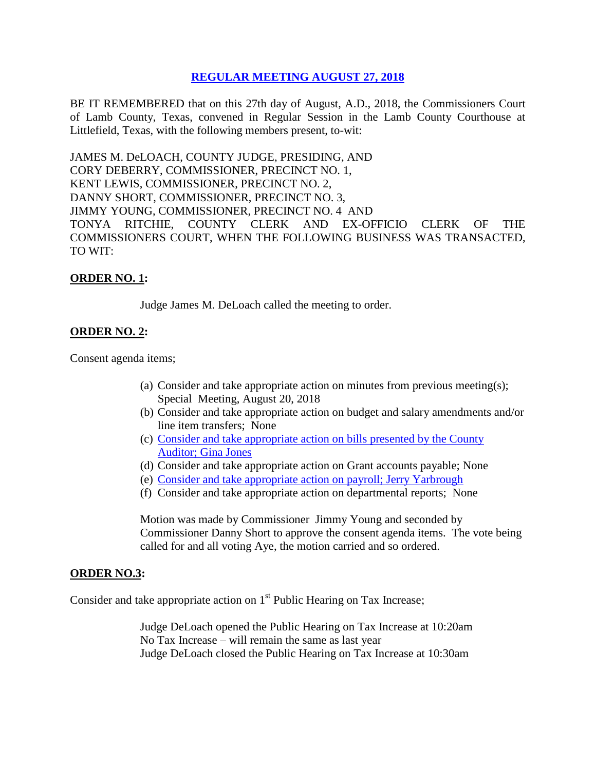# **REGULAR [MEETING AUGUST 27, 2018](Links%202018-08-27-Regular/01%20AGENDA%20REGULAR%20MEETING%20AUGUST%2027,%202018.pdf)**

BE IT REMEMBERED that on this 27th day of August, A.D., 2018, the Commissioners Court of Lamb County, Texas, convened in Regular Session in the Lamb County Courthouse at Littlefield, Texas, with the following members present, to-wit:

JAMES M. DeLOACH, COUNTY JUDGE, PRESIDING, AND CORY DEBERRY, COMMISSIONER, PRECINCT NO. 1, KENT LEWIS, COMMISSIONER, PRECINCT NO. 2, DANNY SHORT, COMMISSIONER, PRECINCT NO. 3, JIMMY YOUNG, COMMISSIONER, PRECINCT NO. 4 AND TONYA RITCHIE, COUNTY CLERK AND EX-OFFICIO CLERK OF THE COMMISSIONERS COURT, WHEN THE FOLLOWING BUSINESS WAS TRANSACTED, TO WIT:

### **ORDER NO. 1:**

Judge James M. DeLoach called the meeting to order.

# **ORDER NO. 2:**

Consent agenda items;

- (a) Consider and take appropriate action on minutes from previous meeting(s); Special Meeting, August 20, 2018
- (b) Consider and take appropriate action on budget and salary amendments and/or line item transfers; None
- (c) [Consider and take appropriate action on bills presented by the County](Links%202018-08-27-Regular/03%20ACCOUNTS%20PAYABLE%20REGULAR%20MEETING%20AUGUST%2027,%202018.pdf)  Auditor; [Gina Jones](Links%202018-08-27-Regular/03%20ACCOUNTS%20PAYABLE%20REGULAR%20MEETING%20AUGUST%2027,%202018.pdf)
- (d) Consider and take appropriate action on Grant accounts payable; None
- (e) [Consider and take appropriate action on payroll;](Links%202018-08-27-Regular/04%20PAYROLL%20PAYABLES%20REGULAR%20MEETING%20AUGUST%2027,%202018.pdf) Jerry Yarbrough
- (f) Consider and take appropriate action on departmental reports; None

Motion was made by Commissioner Jimmy Young and seconded by Commissioner Danny Short to approve the consent agenda items. The vote being called for and all voting Aye, the motion carried and so ordered.

#### **ORDER NO.3:**

Consider and take appropriate action on  $1<sup>st</sup>$  Public Hearing on Tax Increase;

Judge DeLoach opened the Public Hearing on Tax Increase at 10:20am No Tax Increase – will remain the same as last year Judge DeLoach closed the Public Hearing on Tax Increase at 10:30am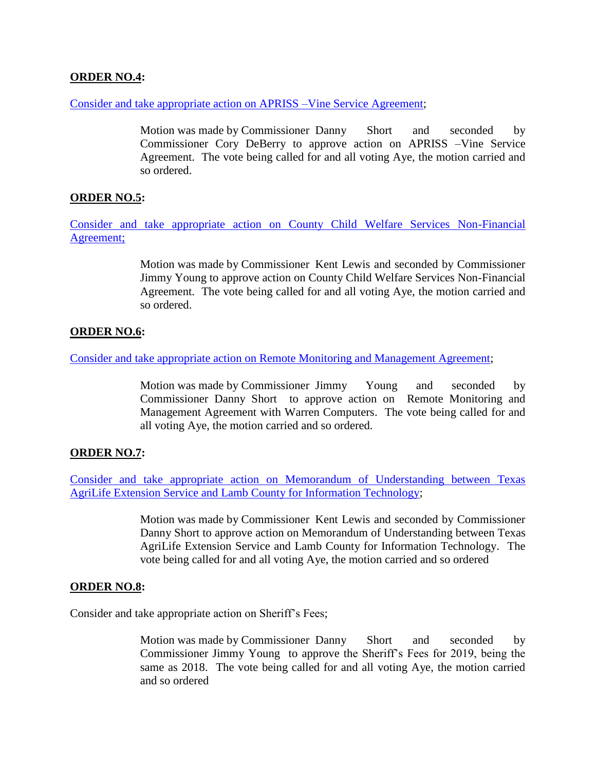# **ORDER NO.4:**

[Consider and take appropriate action on APRISS –Vine Service Agreement;](Links%202018-08-27-Regular/05%20APPRISS-VINE%20SERVICE%20AGREEMENT%20REGULAR%20MEETING%20AUGUST%2027,%202018.pdf)

Motion was made by Commissioner Danny Short and seconded by Commissioner Cory DeBerry to approve action on APRISS –Vine Service Agreement. The vote being called for and all voting Aye, the motion carried and so ordered.

# **ORDER NO.5:**

[Consider and take appropriate action on County Child Welfare Services Non-Financial](Links%202018-08-27-Regular/06%20COUNTY%20CHILD%20WELFARE%20SERVICES%20NON-FINANCIAL%20AGREEMENT%20REGULAR%20MEETING%20AUGUST%2027,%202018.pdf)  [Agreement;](Links%202018-08-27-Regular/06%20COUNTY%20CHILD%20WELFARE%20SERVICES%20NON-FINANCIAL%20AGREEMENT%20REGULAR%20MEETING%20AUGUST%2027,%202018.pdf)

> Motion was made by Commissioner Kent Lewis and seconded by Commissioner Jimmy Young to approve action on County Child Welfare Services Non-Financial Agreement. The vote being called for and all voting Aye, the motion carried and so ordered.

# **ORDER NO.6:**

Consider and take appropriate action [on Remote Monitoring and Management Agreement;](Links%202018-08-27-Regular/07%20REMOTE%20MONITORING%20AND%20MANAGEMENT%20AGREEMENT%20REGULAR%20MEETING%20AUGUST%2027,%202018.pdf)

Motion was made by Commissioner Jimmy Young and seconded by Commissioner Danny Short to approve action on Remote Monitoring and Management Agreement with Warren Computers. The vote being called for and all voting Aye, the motion carried and so ordered.

# **ORDER NO.7:**

[Consider and take appropriate action on Memorandum of Understanding between Texas](Links%202018-08-27-Regular/08%20MEMORANDUM%20OF%20UNDERSTANDING%20TEXAS%20A&M%20AGRILIFE%20EXTENSION%20SERVICE%20AND%20LAMB%20COUNTY%20REGULAR%20MEETING%20AUGUST%2027,%202018.pdf)  [AgriLife Extension Service and Lamb County for Information Technology;](Links%202018-08-27-Regular/08%20MEMORANDUM%20OF%20UNDERSTANDING%20TEXAS%20A&M%20AGRILIFE%20EXTENSION%20SERVICE%20AND%20LAMB%20COUNTY%20REGULAR%20MEETING%20AUGUST%2027,%202018.pdf)

> Motion was made by Commissioner Kent Lewis and seconded by Commissioner Danny Short to approve action on Memorandum of Understanding between Texas AgriLife Extension Service and Lamb County for Information Technology. The vote being called for and all voting Aye, the motion carried and so ordered

#### **ORDER NO.8:**

Consider and take appropriate action on Sheriff's Fees;

Motion was made by Commissioner Danny Short and seconded by Commissioner Jimmy Young to approve the Sheriff's Fees for 2019, being the same as 2018. The vote being called for and all voting Aye, the motion carried and so ordered